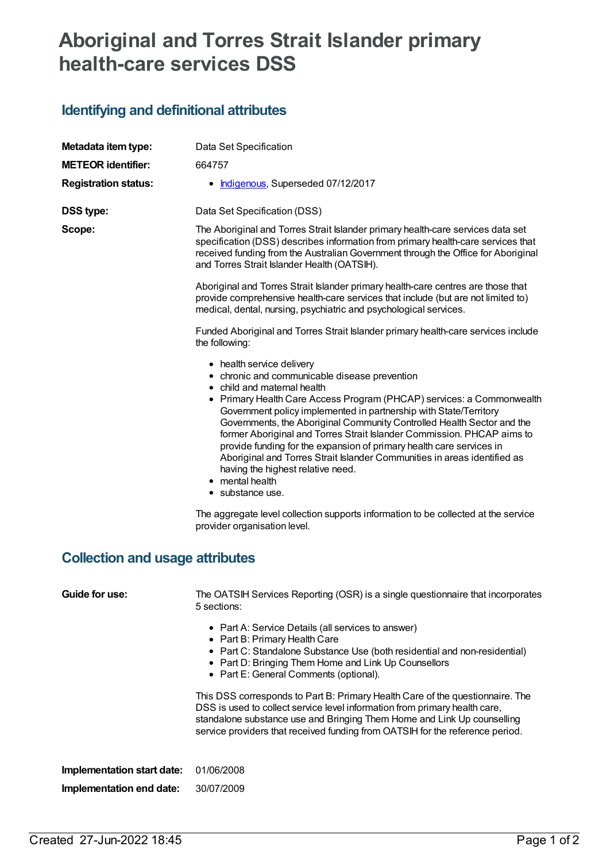## **Aboriginal and Torres Strait Islander primary health-care services DSS**

## **Identifying and definitional attributes**

| Metadata item type:                    | Data Set Specification                                                                                                                                                                                                                                                                                                                                                                                                                                                                                                                                                                                                                      |  |  |  |
|----------------------------------------|---------------------------------------------------------------------------------------------------------------------------------------------------------------------------------------------------------------------------------------------------------------------------------------------------------------------------------------------------------------------------------------------------------------------------------------------------------------------------------------------------------------------------------------------------------------------------------------------------------------------------------------------|--|--|--|
| <b>METEOR identifier:</b>              | 664757                                                                                                                                                                                                                                                                                                                                                                                                                                                                                                                                                                                                                                      |  |  |  |
| <b>Registration status:</b>            | • Indigenous, Superseded 07/12/2017                                                                                                                                                                                                                                                                                                                                                                                                                                                                                                                                                                                                         |  |  |  |
| <b>DSS type:</b>                       | Data Set Specification (DSS)                                                                                                                                                                                                                                                                                                                                                                                                                                                                                                                                                                                                                |  |  |  |
| Scope:                                 | The Aboriginal and Torres Strait Islander primary health-care services data set<br>specification (DSS) describes information from primary health-care services that<br>received funding from the Australian Government through the Office for Aboriginal<br>and Torres Strait Islander Health (OATSIH).                                                                                                                                                                                                                                                                                                                                     |  |  |  |
|                                        | Aboriginal and Torres Strait Islander primary health-care centres are those that<br>provide comprehensive health-care services that include (but are not limited to)<br>medical, dental, nursing, psychiatric and psychological services.                                                                                                                                                                                                                                                                                                                                                                                                   |  |  |  |
|                                        | Funded Aboriginal and Torres Strait Islander primary health-care services include<br>the following:                                                                                                                                                                                                                                                                                                                                                                                                                                                                                                                                         |  |  |  |
|                                        | • health service delivery<br>• chronic and communicable disease prevention<br>• child and maternal health<br>• Primary Health Care Access Program (PHCAP) services: a Commonwealth<br>Government policy implemented in partnership with State/Territory<br>Governments, the Aboriginal Community Controlled Health Sector and the<br>former Aboriginal and Torres Strait Islander Commission. PHCAP aims to<br>provide funding for the expansion of primary health care services in<br>Aboriginal and Torres Strait Islander Communities in areas identified as<br>having the highest relative need.<br>• mental health<br>• substance use. |  |  |  |
|                                        | The aggregate level collection supports information to be collected at the service<br>provider organisation level.                                                                                                                                                                                                                                                                                                                                                                                                                                                                                                                          |  |  |  |
| <b>Collection and usage attributes</b> |                                                                                                                                                                                                                                                                                                                                                                                                                                                                                                                                                                                                                                             |  |  |  |
| <b>Guide for use:</b>                  | The OATSIH Services Reporting (OSR) is a single questionnaire that incorporates<br>5 sections:                                                                                                                                                                                                                                                                                                                                                                                                                                                                                                                                              |  |  |  |
|                                        | • Part A: Service Details (all services to answer)<br>• Part B: Primary Health Care<br>• Part C: Standalone Substance Use (both residential and non-residential)<br>• Part D: Bringing Them Home and Link Up Counsellors<br>• Part E: General Comments (optional).                                                                                                                                                                                                                                                                                                                                                                          |  |  |  |
|                                        | This DSS corresponds to Part B: Primary Health Care of the questionnaire. The<br>DSS is used to collect service level information from primary health care,<br>standalone substance use and Bringing Them Home and Link Up counselling<br>service providers that received funding from OATSIH for the reference period.                                                                                                                                                                                                                                                                                                                     |  |  |  |
| Implementation start date:             | 01/06/2008                                                                                                                                                                                                                                                                                                                                                                                                                                                                                                                                                                                                                                  |  |  |  |
| Implementation end date:               | 30/07/2009                                                                                                                                                                                                                                                                                                                                                                                                                                                                                                                                                                                                                                  |  |  |  |